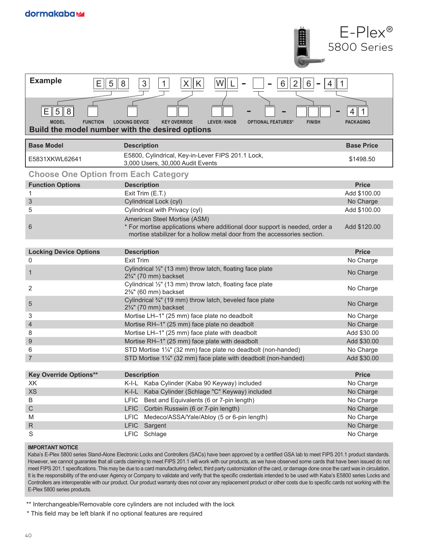|                                                 | 1                                                                                                                                                                                       | $E-Plex^{\circledcirc}$<br>5800 Series |  |  |  |
|-------------------------------------------------|-----------------------------------------------------------------------------------------------------------------------------------------------------------------------------------------|----------------------------------------|--|--|--|
| <b>Example</b><br>5<br>Е                        | $\ensuremath{\mathsf{3}}$<br>$\mathsf{K}$<br>8<br>$\vert X \vert$<br>W<br>$\mathbf{1}$<br>6<br>2<br>6                                                                                   |                                        |  |  |  |
| ΕI<br>5<br>8<br><b>MODEL</b><br><b>FUNCTION</b> | <b>LOCKING DEVICE</b><br><b>KEY OVERRIDE</b><br>LEVER/KNOB<br><b>OPTIONAL FEATURES*</b><br><b>FINISH</b><br>Build the model number with the desired options                             | <b>PACKAGING</b>                       |  |  |  |
| <b>Base Model</b>                               | <b>Description</b>                                                                                                                                                                      | <b>Base Price</b>                      |  |  |  |
| E5831XKWL62641                                  | E5800, Cylindrical, Key-in-Lever FIPS 201.1 Lock,<br>3,000 Users, 30,000 Audit Events                                                                                                   | \$1498.50                              |  |  |  |
|                                                 | <b>Choose One Option from Each Category</b>                                                                                                                                             |                                        |  |  |  |
| <b>Function Options</b>                         | <b>Description</b>                                                                                                                                                                      | <b>Price</b>                           |  |  |  |
| 1                                               | Exit Trim (E.T.)                                                                                                                                                                        | Add \$100.00                           |  |  |  |
| 3                                               | Cylindrical Lock (cyl)                                                                                                                                                                  | No Charge                              |  |  |  |
| 5                                               | Cylindrical with Privacy (cyl)                                                                                                                                                          | Add \$100.00                           |  |  |  |
| 6                                               | American Steel Mortise (ASM)<br>* For mortise applications where additional door support is needed, order a<br>mortise stabilizer for a hollow metal door from the accessories section. | Add \$120.00                           |  |  |  |
| <b>Locking Device Options</b>                   | <b>Description</b>                                                                                                                                                                      | <b>Price</b>                           |  |  |  |
| 0                                               | <b>Exit Trim</b>                                                                                                                                                                        | No Charge                              |  |  |  |
| 1                                               | Cylindrical 1/2" (13 mm) throw latch, floating face plate<br>2%" (70 mm) backset                                                                                                        | No Charge                              |  |  |  |
| 2                                               | Cylindrical 1/2" (13 mm) throw latch, floating face plate<br>$2\frac{3}{8}$ " (60 mm) backset                                                                                           | No Charge                              |  |  |  |
| 5                                               | Cylindrical 3/4" (19 mm) throw latch, beveled face plate<br>2%" (70 mm) backset                                                                                                         | No Charge                              |  |  |  |
| 3                                               | Mortise LH-1" (25 mm) face plate no deadbolt                                                                                                                                            | No Charge                              |  |  |  |
| 4                                               | Mortise RH-1" (25 mm) face plate no deadbolt                                                                                                                                            | No Charge                              |  |  |  |
| 8                                               | Mortise LH-1" (25 mm) face plate with deadbolt                                                                                                                                          | Add \$30.00                            |  |  |  |
| 9                                               | Mortise RH-1" (25 mm) face plate with deadbolt                                                                                                                                          | Add \$30.00                            |  |  |  |
| 6<br>$\overline{7}$                             | STD Mortise 11/4" (32 mm) face plate no deadbolt (non-handed)<br>STD Mortise 11/4" (32 mm) face plate with deadbolt (non-handed)                                                        | No Charge<br>Add \$30.00               |  |  |  |
|                                                 |                                                                                                                                                                                         |                                        |  |  |  |
| <b>Key Override Options**</b>                   | <b>Description</b>                                                                                                                                                                      | <b>Price</b>                           |  |  |  |
| XK                                              | Kaba Cylinder (Kaba 90 Keyway) included<br>K-I-L                                                                                                                                        | No Charge                              |  |  |  |
| <b>XS</b>                                       | K-I-L<br>Kaba Cylinder (Schlage "C" Keyway) included                                                                                                                                    | No Charge                              |  |  |  |
| B                                               | <b>LFIC</b><br>Best and Equivalents (6 or 7-pin length)                                                                                                                                 | No Charge                              |  |  |  |
| $\mathsf C$                                     | LFIC Corbin Russwin (6 or 7-pin length)                                                                                                                                                 | No Charge                              |  |  |  |
| M                                               | <b>LFIC</b><br>Medeco/ASSA/Yale/Abloy (5 or 6-pin length)                                                                                                                               | No Charge                              |  |  |  |
| $\mathsf R$                                     | <b>LFIC</b><br>Sargent                                                                                                                                                                  | No Charge                              |  |  |  |
| S                                               | <b>LFIC</b><br>Schlage                                                                                                                                                                  | No Charge                              |  |  |  |

#### **IMPORTANT NOTICE**

Kaba's E-Plex 5800 series Stand-Alone Electronic Locks and Controllers (SACs) have been approved by a certified GSA lab to meet FIPS 201.1 product standards. However, we cannot guarantee that all cards claiming to meet FIPS 201.1 will work with our products, as we have observed some cards that have been issued do not meet FIPS 201.1 specifications. This may be due to a card manufacturing defect, third party customization of the card, or damage done once the card was in circulation. It is the responsibility of the end-user Agency or Company to validate and verify that the specific credentials intended to be used with Kaba's E5800 series Locks and Controllers are interoperable with our product. Our product warranty does not cover any replacement product or other costs due to specific cards not working with the E-Plex 5800 series products.

\*\* Interchangeable/Removable core cylinders are not included with the lock

\* This field may be left blank if no optional features are required